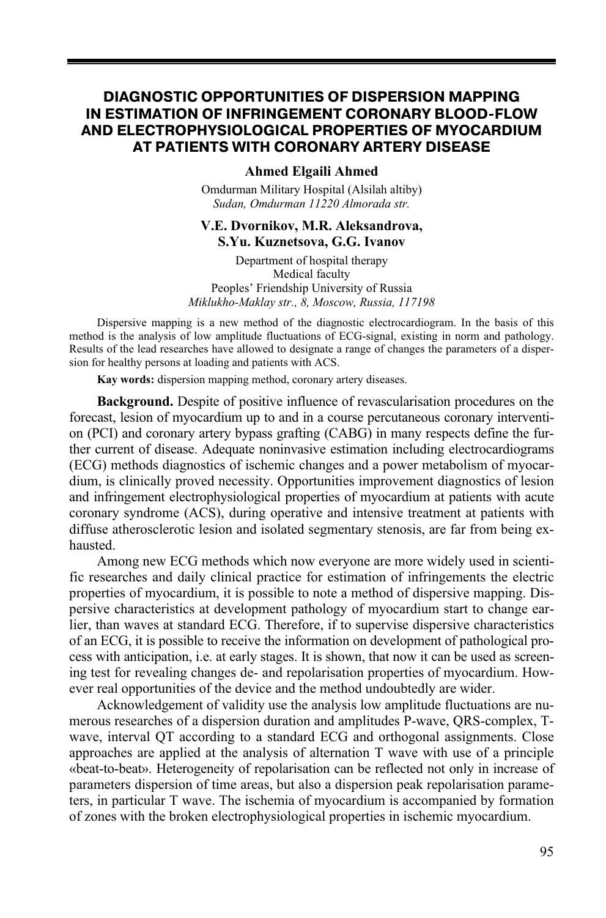## **DIAGNOSTIC OPPORTUNITIES OF DISPERSION MAPPING IN ESTIMATION OF INFRINGEMENT CORONARY BLOOD-FLOW AND ELECTROPHYSIOLOGICAL PROPERTIES OF MYOCARDIUM AT PATIENTS WITH CORONARY ARTERY DISEASE**

#### **Ahmed Elgaili Ahmed**

Omdurman Military Hospital (Alsilah altiby) *Sudan, Omdurman 11220 Almorada str.* 

### **V.E. Dvornikov, M.R. Aleksandrova, S.Yu. Kuznetsova, G.G. Ivanov**

Department of hospital therapy Medical faculty Peoples' Friendship University of Russia *Мiklukho-Maklay str., 8, Moscow, Russia, 117198* 

Dispersive mapping is a new method of the diagnostic electrocardiogram. In the basis of this method is the analysis of low amplitude fluctuations of ECG-signal, existing in norm and pathology. Results of the lead researches have allowed to designate a range of changes the parameters of a dispersion for healthy persons at loading and patients with ACS.

**Kay words:** dispersion mapping method, coronary artery diseases.

**Background.** Despite of positive influence of revascularisation procedures on the forecast, lesion of myocardium up to and in a course percutaneous coronary intervention (PCI) and coronary artery bypass grafting (CABG) in many respects define the further current of disease. Adequate noninvasive estimation including electrocardiograms (ECG) methods diagnostics of ischemic changes and a power metabolism of myocardium, is clinically proved necessity. Opportunities improvement diagnostics of lesion and infringement electrophysiological properties of myocardium at patients with acute coronary syndrome (ACS), during operative and intensive treatment at patients with diffuse atherosclerotic lesion and isolated segmentary stenosis, are far from being exhausted.

Among new ECG methods which now everyone are more widely used in scientific researches and daily clinical practice for estimation of infringements the electric properties of myocardium, it is possible to note a method of dispersive mapping. Dispersive characteristics at development pathology of myocardium start to change earlier, than waves at standard ECG. Therefore, if to supervise dispersive characteristics of an ECG, it is possible to receive the information on development of pathological process with anticipation, i.e. at early stages. It is shown, that now it can be used as screening test for revealing changes de- and repolarisation properties of myocardium. However real opportunities of the device and the method undoubtedly are wider.

Acknowledgement of validity use the analysis low amplitude fluctuations are numerous researches of a dispersion duration and amplitudes P-wave, QRS-complex, Тwave, interval QT according to a standard ECG and orthogonal assignments. Close approaches are applied at the analysis of alternation Т wave with use of a principle «beat-to-beat». Heterogeneity of repolarisation can be reflected not only in increase of parameters dispersion of time areas, but also a dispersion peak repolarisation parameters, in particular T wave. The ischemia of myocardium is accompanied by formation of zones with the broken electrophysiological properties in ischemic myocardium.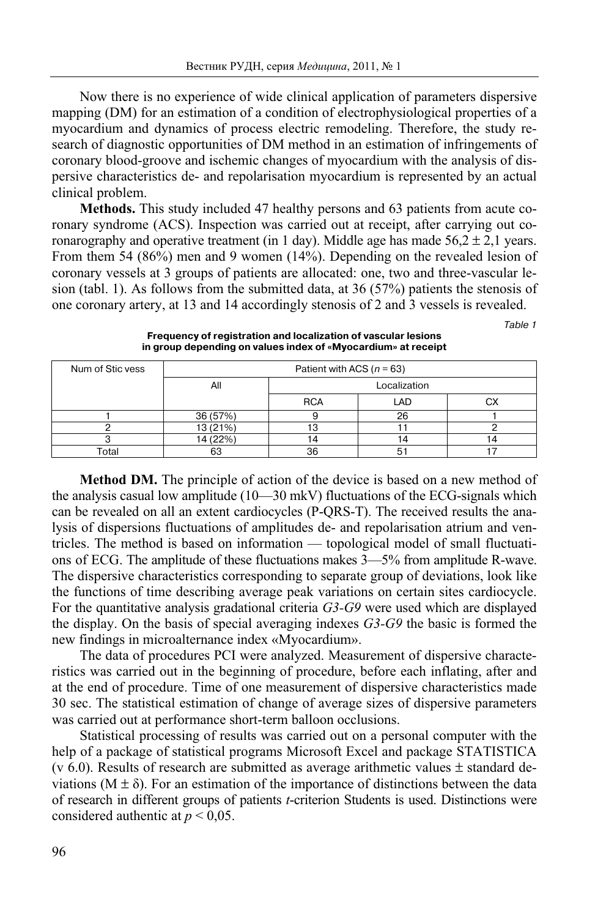Now there is no experience of wide clinical application of parameters dispersive mapping (DM) for an estimation of a condition of electrophysiological properties of a myocardium and dynamics of process electric remodeling. Therefore, the study research of diagnostic opportunities of DM method in an estimation of infringements of coronary blood-groove and ischemic changes of myocardium with the analysis of dispersive characteristics de- and repolarisation myocardium is represented by an actual clinical problem.

**Methods.** This study included 47 healthy persons and 63 patients from acute coronary syndrome (ACS). Inspection was carried out at receipt, after carrying out coronarography and operative treatment (in 1 day). Middle age has made  $56.2 \pm 2.1$  years. From them 54 (86%) men and 9 women (14%). Depending on the revealed lesion of coronary vessels at 3 groups of patients are allocated: one, two and three-vascular lesion (tabl. 1). As follows from the submitted data, at 36 (57%) patients the stenosis of one coronary artery, at 13 and 14 accordingly stenosis of 2 and 3 vessels is revealed.

Table 1

| Num of Stic vess | Patient with ACS ( $n = 63$ ) |              |     |    |  |
|------------------|-------------------------------|--------------|-----|----|--|
|                  | All                           | Localization |     |    |  |
|                  |                               | <b>RCA</b>   | LAD | CХ |  |
|                  | 36 (57%)                      |              | 26  |    |  |
|                  | 13 (21%)                      |              |     |    |  |
|                  | 14 (22%)                      |              | 4   | 14 |  |
| Total            | 63                            | 36           | ວ   |    |  |

**Frequency of registration and localization of vascular lesions in group depending on values index of «Myocardium» at receipt** 

**Method DM.** The principle of action of the device is based on a new method of the analysis casual low amplitude (10—30 mkV) fluctuations of the ECG-signals which can be revealed on all an extent cardiocycles (Р-QRS-T). The received results the analysis of dispersions fluctuations of amplitudes de- and repolarisation atrium and ventricles. The method is based on information — topological model of small fluctuations of ECG. The amplitude of these fluctuations makes 3—5% from amplitude R-wave. The dispersive characteristics corresponding to separate group of deviations, look like the functions of time describing average peak variations on certain sites cardiocycle. For the quantitative analysis gradational criteria *G3-G9* were used which are displayed the display. On the basis of special averaging indexes *G3-G9* the basic is formed the new findings in microalternance index «Myocardium».

The data of procedures PCI were analyzed. Measurement of dispersive characteristics was carried out in the beginning of procedure, before each inflating, after and at the end of procedure. Time of one measurement of dispersive characteristics made 30 sec. The statistical estimation of change of average sizes of dispersive parameters was carried out at performance short-term balloon occlusions.

Statistical processing of results was carried out on a personal computer with the help of a package of statistical programs Microsoft Eхсеl and package STATISTICA (v 6.0). Results of research are submitted as average arithmetic values  $\pm$  standard deviations ( $M \pm \delta$ ). For an estimation of the importance of distinctions between the data of research in different groups of patients *t*-criterion Students is used. Distinctions were considered authentic at *р* < 0,05.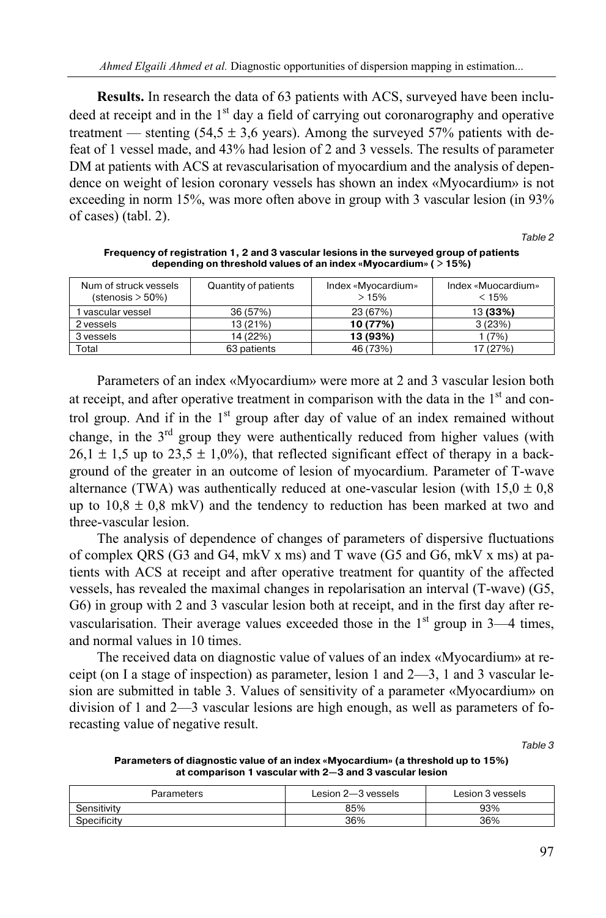**Results.** In research the data of 63 patients with ACS, surveyed have been includeed at receipt and in the  $1<sup>st</sup>$  day a field of carrying out coronarography and operative treatment — stenting  $(54.5 \pm 3.6 \text{ years})$ . Among the surveyed  $57\%$  patients with defeat of 1 vessel made, and 43% had lesion of 2 and 3 vessels. The results of parameter DM at patients with ACS at revascularisation of myocardium and the analysis of dependence on weight of lesion coronary vessels has shown an index «Myocardium» is not exceeding in norm 15%, was more often above in group with 3 vascular lesion (in 93% of cases) (tabl. 2).

Table 2

| Num of struck vessels<br>(stenosis > 50%) | Quantity of patients | Index «Myocardium»<br>>15% | Index «Muocardium»<br>$< 15\%$ |
|-------------------------------------------|----------------------|----------------------------|--------------------------------|
| vascular vessel                           | 36 (57%)             | 23 (67%)                   | 13 (33%)                       |
| 2 yessels                                 | 13 (21%)             | 10 (77%)                   | 3(23%)                         |
| 3 yessels                                 | 14 (22%)             | 13 (93%)                   | (7%)                           |
| Total                                     | 63 patients          | 46 (73%)                   | 7(27%)                         |

**Frequency of registration 1, 2 and 3 vascular lesions in the surveyed group of patients depending on threshold values of an index «Myocardium» ( > 15%)** 

Parameters of an index «Myocardium» were more at 2 and 3 vascular lesion both at receipt, and after operative treatment in comparison with the data in the  $1<sup>st</sup>$  and control group. And if in the  $1<sup>st</sup>$  group after day of value of an index remained without change, in the  $3<sup>rd</sup>$  group they were authentically reduced from higher values (with  $26.1 \pm 1.5$  up to  $23.5 \pm 1.0\%$ ), that reflected significant effect of therapy in a background of the greater in an outcome of lesion of myocardium. Parameter of T-wave alternance (TWA) was authentically reduced at one-vascular lesion (with  $15.0 \pm 0.8$ ) up to  $10,8 \pm 0.8$  mkV) and the tendency to reduction has been marked at two and three-vascular lesion.

The analysis of dependence of changes of parameters of dispersive fluctuations of complex QRS (G3 and G4, mkV х ms) and Т wave (G5 and G6, mkV х ms) at patients with ACS at receipt and after operative treatment for quantity of the affected vessels, has revealed the maximal changes in repolarisation an interval (Т-wave) (G5, G6) in group with 2 and 3 vascular lesion both at receipt, and in the first day after revascularisation. Their average values exceeded those in the  $1<sup>st</sup>$  group in 3—4 times, and normal values in 10 times.

The received data on diagnostic value of values of an index «Myocardium» at receipt (on I a stage of inspection) as parameter, lesion 1 and 2—3, 1 and 3 vascular lesion are submitted in table 3. Values of sensitivity of a parameter «Myocardium» on division of 1 and 2—3 vascular lesions are high enough, as well as parameters of forecasting value of negative result.

Table 3

**Parameters of diagnostic value of an index «Myocardium» (a threshold up to 15%) at comparison 1 vascular with 2—3 and 3 vascular lesion** 

| Parameters  | Lesion 2-3 vessels | Lesion 3 vessels |
|-------------|--------------------|------------------|
| Sensitivity | 85%                | 93%              |
| Specificity | 36%                | 36%              |